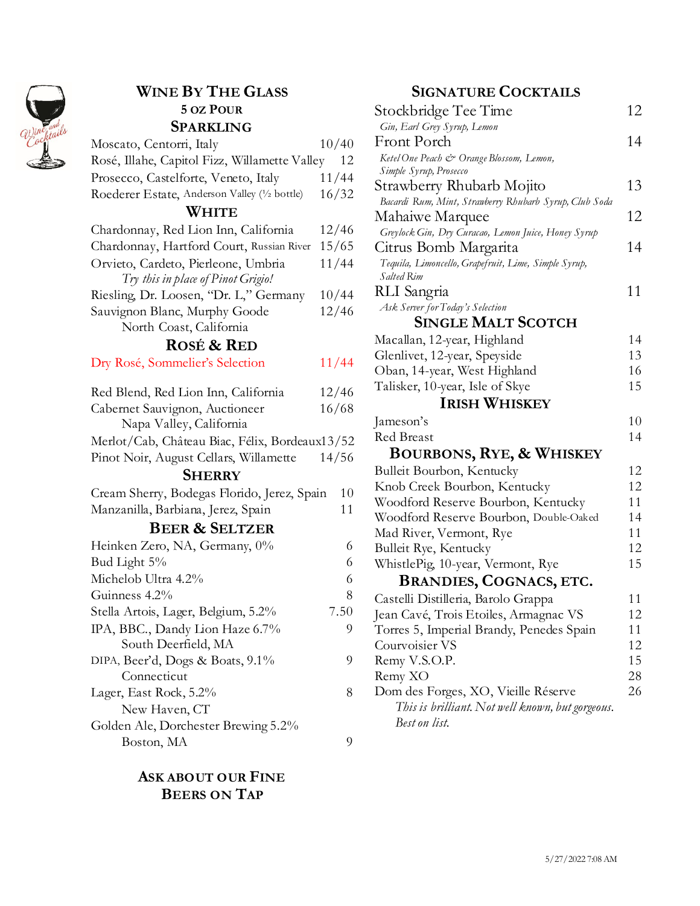

## **WINE BY THE GLASS 5 OZ POUR SPARKLING**

| <b>OL ANNLIIVU</b>                             |       |
|------------------------------------------------|-------|
| Moscato, Centorri, Italy                       | 10/40 |
| Rosé, Illahe, Capitol Fizz, Willamette Valley  | 12    |
| Prosecco, Castelforte, Veneto, Italy           | 11/44 |
| Roederer Estate, Anderson Valley (1/2 bottle)  | 16/32 |
| WHITE                                          |       |
| Chardonnay, Red Lion Inn, California           | 12/46 |
| Chardonnay, Hartford Court, Russian River      | 15/65 |
| Orvieto, Cardeto, Pierleone, Umbria            | 11/44 |
| Try this in place of Pinot Grigio!             |       |
| Riesling, Dr. Loosen, "Dr. L," Germany         | 10/44 |
| Sauvignon Blanc, Murphy Goode                  | 12/46 |
| North Coast, California                        |       |
| <b>ROSÉ &amp; RED</b>                          |       |
| Dry Rosé, Sommelier's Selection                | 11/44 |
| Red Blend, Red Lion Inn, California            | 12/46 |
| Cabernet Sauvignon, Auctioneer                 | 16/68 |
| Napa Valley, California                        |       |
| Merlot/Cab, Château Biac, Félix, Bordeaux13/52 |       |
| Pinot Noir, August Cellars, Willamette         | 14/56 |
| <b>SHERRY</b>                                  |       |
| Cream Sherry, Bodegas Florido, Jerez, Spain    | 10    |
| Manzanilla, Barbiana, Jerez, Spain             | 11    |
| <b>BEER &amp; SELTZER</b>                      |       |
| Heinken Zero, NA, Germany, 0%                  | 6     |
| Bud Light 5%                                   | 6     |
| Michelob Ultra 4.2%                            | 6     |
| Guinness 4.2%                                  | 8     |
| Stella Artois, Lager, Belgium, 5.2%            | 7.50  |
| IPA, BBC., Dandy Lion Haze 6.7%                | 9     |
| South Deerfield, MA                            |       |
| DIPA, Beer'd, Dogs & Boats, 9.1%               | 9     |
| Connecticut                                    |       |
| Lager, East Rock, 5.2%                         | 8     |
| New Haven, CT                                  |       |
| Golden Ale, Dorchester Brewing 5.2%            |       |
| Boston, MA                                     | 9     |

## **ASK ABOUT OUR FINE BEERS ON TAP**

## **SIGNATURE COCKTAILS**

| Stockbridge Tee Time                                                              | 12       |
|-----------------------------------------------------------------------------------|----------|
| Gin, Earl Grey Syrup, Lemon                                                       |          |
| Front Porch                                                                       | 14       |
| Ketel One Peach & Orange Blossom, Lemon,<br>Simple Syrup, Prosecco                |          |
| Strawberry Rhubarb Mojito                                                         | 13       |
| Bacardi Rum, Mint, Strawberry Rhubarb Syrup, Club Soda                            |          |
| Mahaiwe Marquee                                                                   | 12       |
| Greylock Gin, Dry Curacao, Lemon Juice, Honey Syrup                               |          |
| Citrus Bomb Margarita                                                             | 14       |
| Tequila, Limoncello, Grapefruit, Lime, Simple Syrup,                              |          |
| Salted Rim                                                                        |          |
| RLI Sangria                                                                       | 11       |
| Ask Server for Today's Selection                                                  |          |
| Single Malt Scotch                                                                |          |
| Macallan, 12-year, Highland                                                       | 14       |
| Glenlivet, 12-year, Speyside                                                      | 13       |
| Oban, 14-year, West Highland                                                      | 16       |
| Talisker, 10-year, Isle of Skye                                                   | 15       |
| <b>IRISH WHISKEY</b>                                                              |          |
| Jameson's                                                                         | 10       |
| <b>Red Breast</b>                                                                 | 14       |
| <b>BOURBONS, RYE, &amp; WHISKEY</b>                                               |          |
| Bulleit Bourbon, Kentucky                                                         | 12       |
| Knob Creek Bourbon, Kentucky                                                      | 12       |
| Woodford Reserve Bourbon, Kentucky                                                | 11       |
| Woodford Reserve Bourbon, Double-Oaked                                            | 14       |
| Mad River, Vermont, Rye                                                           | 11<br>12 |
| Bulleit Rye, Kentucky<br>WhistlePig, 10-year, Vermont, Rye                        | 15       |
| <b>BRANDIES, COGNACS, ETC.</b>                                                    |          |
|                                                                                   |          |
| Castelli Distilleria, Barolo Grappa                                               | 11       |
| Jean Cavé, Trois Etoiles, Armagnac VS<br>Torres 5, Imperial Brandy, Penedes Spain | 12<br>11 |
| Courvoisier VS                                                                    | 12       |
| Remy V.S.O.P.                                                                     | 15       |
| Remy XO                                                                           | 28       |
| Dom des Forges, XO, Vieille Réserve                                               | 26       |
| This is brilliant. Not well known, but gorgeous.                                  |          |
| Best on list.                                                                     |          |